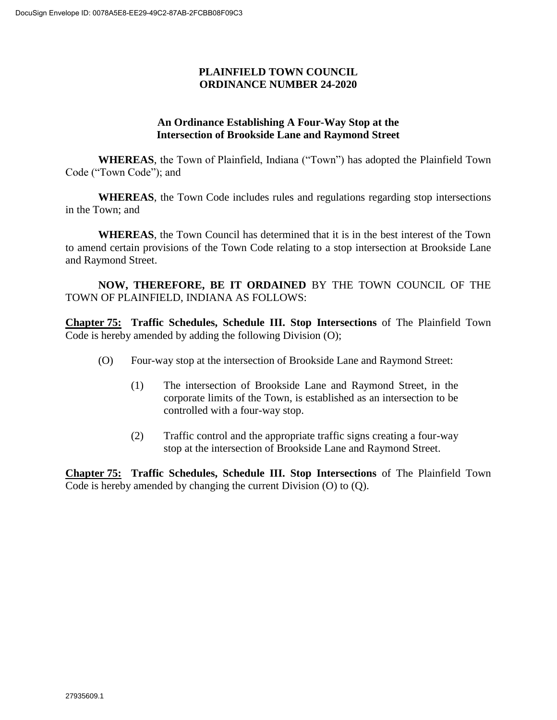## **PLAINFIELD TOWN COUNCIL ORDINANCE NUMBER 24-2020**

## **An Ordinance Establishing A Four-Way Stop at the Intersection of Brookside Lane and Raymond Street**

**WHEREAS**, the Town of Plainfield, Indiana ("Town") has adopted the Plainfield Town Code ("Town Code"); and

**WHEREAS**, the Town Code includes rules and regulations regarding stop intersections in the Town; and

**WHEREAS**, the Town Council has determined that it is in the best interest of the Town to amend certain provisions of the Town Code relating to a stop intersection at Brookside Lane and Raymond Street.

**NOW, THEREFORE, BE IT ORDAINED** BY THE TOWN COUNCIL OF THE TOWN OF PLAINFIELD, INDIANA AS FOLLOWS:

**Chapter 75: Traffic Schedules, Schedule III. Stop Intersections** of The Plainfield Town Code is hereby amended by adding the following Division (O);

- (O) Four-way stop at the intersection of Brookside Lane and Raymond Street:
	- (1) The intersection of Brookside Lane and Raymond Street, in the corporate limits of the Town, is established as an intersection to be controlled with a four-way stop.
	- (2) Traffic control and the appropriate traffic signs creating a four-way stop at the intersection of Brookside Lane and Raymond Street.

**Chapter 75: Traffic Schedules, Schedule III. Stop Intersections** of The Plainfield Town Code is hereby amended by changing the current Division (O) to (Q).